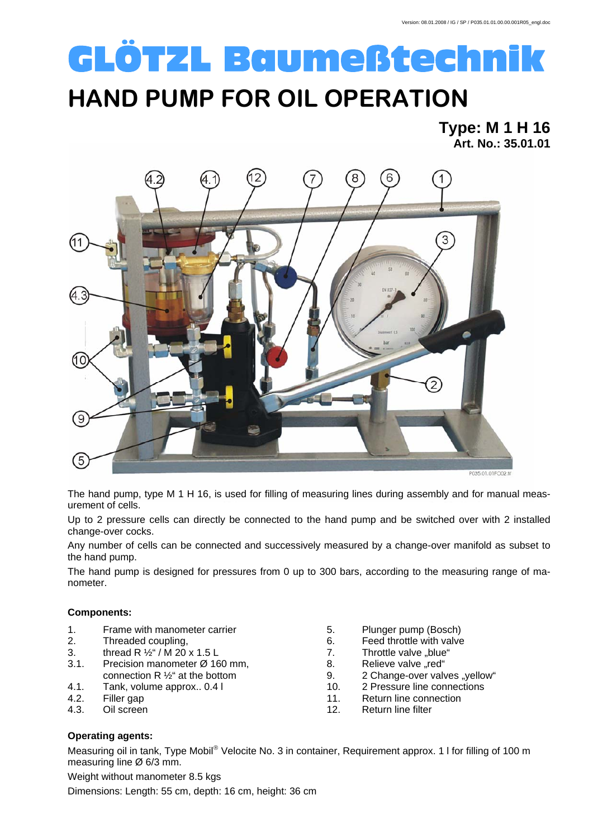# GLÖTZL Baumeßtechnik

### **HAND PUMP FOR OIL OPERATION**

**Type: M 1 H 16 Art. No.: 35.01.01** 



P035.01.01FC02.ft

The hand pump, type M 1 H 16, is used for filling of measuring lines during assembly and for manual measurement of cells.

Up to 2 pressure cells can directly be connected to the hand pump and be switched over with 2 installed change-over cocks.

Any number of cells can be connected and successively measured by a change-over manifold as subset to the hand pump.

The hand pump is designed for pressures from 0 up to 300 bars, according to the measuring range of manometer.

#### **Components:**

- 1. Frame with manometer carrier
- 2. Threaded coupling,
- 3. thread R  $\frac{1}{2}$  / M  $\frac{20}{2}$  x 1.5 L
- 3.1. Precision manometer Ø 160 mm, connection R ½" at the bottom
- 4.1. Tank, volume approx.. 0.4 l
- 4.2. Filler gap
- 4.3. Oil screen
- 5. Plunger pump (Bosch)
- 6. Feed throttle with valve
- 7. Throttle valve "blue"
- 8. Relieve valve "red"
- 9. 2 Change-over valves "yellow"
- 10. 2 Pressure line connections
- 11. Return line connection
- 12. Return line filter

### **Operating agents:**

Measuring oil in tank, Type Mobil® Velocite No. 3 in container, Requirement approx. 1 l for filling of 100 m measuring line Ø 6/3 mm.

Weight without manometer 8.5 kgs Dimensions: Length: 55 cm, depth: 16 cm, height: 36 cm